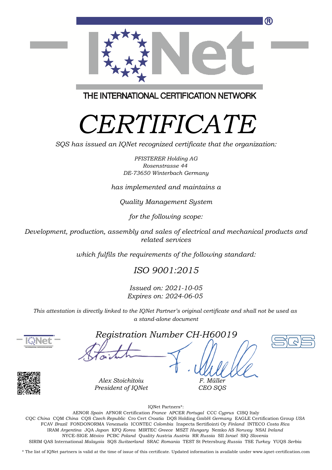

THE INTERNATIONAL CERTIFICATION NETWORK

# *CERTIFICATE*

*SQS has issued an IQNet recognized certificate that the organization:*

*PFISTERER Holding AG Rosenstrasse 44 DE-73650 Winterbach Germany*

*has implemented and maintains a*

*Quality Management System*

*for the following scope:*

*Development, production, assembly and sales of electrical and mechanical products and related services*

*which fulfils the requirements of the following standard:*

#### *ISO 9001:2015*

*Issued on: 2021-10-05 Expires on: 2024-06-05*

*This attestation is directly linked to the IQNet Partner's original certificate and shall not be used as a stand-alone document*



*Registration Number CH-H60019*





*Alex Stoichitoiu President of IQNet*

IQNet Partners\*:

*F. Müller CEO SQS*

This annex is only valid in connection with the above-mentioned certificate. FCAV *Brazil* FONDONORMA *Venezuela* ICONTEC *Colombia* Inspecta Sertifiointi Oy *Finland* INTECO *Costa Rica* AENOR *Spain* AFNOR Certification *France* APCER *Portugal* CCC *Cyprus* CISQ Italy CQC *China* CQM *China* CQS *Czech Republic* Cro Cert *Croatia* DQS Holding GmbH *Germany* EAGLE Certification Group *USA* IRAM *Argentina* JQA *Japan* KFQ *Korea* MIRTEC *Greece* MSZT *Hungary* Nemko AS *Norway* NSAI *Ireland* NYCE-SIGE *México* PCBC *Poland* Quality Austria *Austria* RR *Russia* SII *Israel* SIQ *Slovenia* SIRIM QAS International *Malaysia* SQS *Switzerland* SRAC *Romania* TEST St Petersburg *Russia* TSE *Turkey* YUQS *Serbia*

\* The list of IQNet partners is valid at the time of issue of this certificate. Updated information is available under www.iqnet-certification.com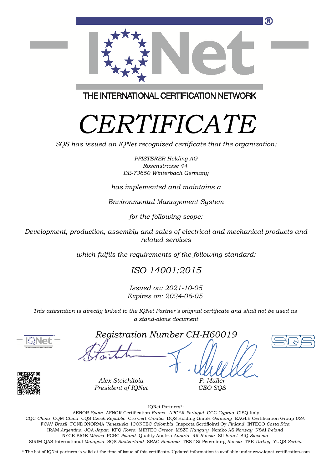

THE INTERNATIONAL CERTIFICATION NETWORK

# *CERTIFICATE*

*SQS has issued an IQNet recognized certificate that the organization:*

*PFISTERER Holding AG Rosenstrasse 44 DE-73650 Winterbach Germany*

*has implemented and maintains a*

*Environmental Management System*

*for the following scope:*

*Development, production, assembly and sales of electrical and mechanical products and related services*

*which fulfils the requirements of the following standard:*

### *ISO 14001:2015*

*Issued on: 2021-10-05 Expires on: 2024-06-05*

*This attestation is directly linked to the IQNet Partner's original certificate and shall not be used as a stand-alone document*



*Registration Number CH-H60019*





*Alex Stoichitoiu President of IQNet*

IQNet Partners\*:

*F. Müller CEO SQS*

This annex is only valid in connection with the above-mentioned certificate. FCAV *Brazil* FONDONORMA *Venezuela* ICONTEC *Colombia* Inspecta Sertifiointi Oy *Finland* INTECO *Costa Rica* AENOR *Spain* AFNOR Certification *France* APCER *Portugal* CCC *Cyprus* CISQ Italy CQC *China* CQM *China* CQS *Czech Republic* Cro Cert *Croatia* DQS Holding GmbH *Germany* EAGLE Certification Group *USA* IRAM *Argentina* JQA *Japan* KFQ *Korea* MIRTEC *Greece* MSZT *Hungary* Nemko AS *Norway* NSAI *Ireland* NYCE-SIGE *México* PCBC *Poland* Quality Austria *Austria* RR *Russia* SII *Israel* SIQ *Slovenia* SIRIM QAS International *Malaysia* SQS *Switzerland* SRAC *Romania* TEST St Petersburg *Russia* TSE *Turkey* YUQS *Serbia*

\* The list of IQNet partners is valid at the time of issue of this certificate. Updated information is available under www.iqnet-certification.com